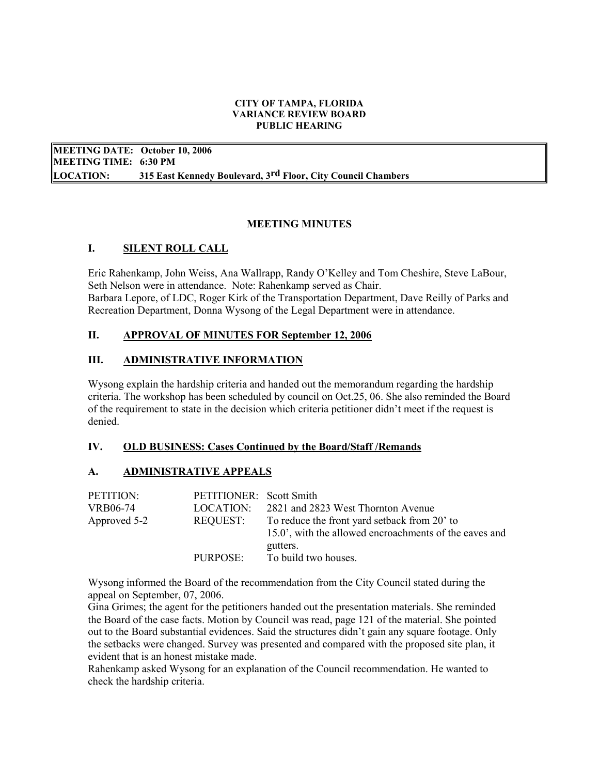### CITY OF TAMPA, FLORIDA VARIANCE REVIEW BOARD PUBLIC HEARING

 MEETING DATE: October 10, 2006 MEETING TIME: 6:30 PM **LOCATION:** 315 East Kennedy Boulevard, 3<sup>rd</sup> Floor, City Council Chambers

## MEETING MINUTES

## I. **SILENT ROLL CALL**

Eric Rahenkamp, John Weiss, Ana Wallrapp, Randy O'Kelley and Tom Cheshire, Steve LaBour, Seth Nelson were in attendance. Note: Rahenkamp served as Chair. Barbara Lepore, of LDC, Roger Kirk of the Transportation Department, Dave Reilly of Parks and Recreation Department, Donna Wysong of the Legal Department were in attendance.

## II. APPROVAL OF MINUTES FOR September 12, 2006

## **III.** ADMINISTRATIVE INFORMATION

Wysong explain the hardship criteria and handed out the memorandum regarding the hardship criteria. The workshop has been scheduled by council on Oct.25, 06. She also reminded the Board of the requirement to state in the decision which criteria petitioner didn't meet if the request is denied.

#### IV. OLD BUSINESS: Cases Continued by the Board/Staff /Remands

#### A. **ADMINISTRATIVE APPEALS**

| PETITION:       | PETITIONER: Scott Smith |                                                                                                                    |
|-----------------|-------------------------|--------------------------------------------------------------------------------------------------------------------|
| <b>VRB06-74</b> | LOCATION:               | 2821 and 2823 West Thornton Avenue                                                                                 |
| Approved 5-2    | REQUEST:                | To reduce the front yard setback from 20' to<br>15.0', with the allowed encroachments of the eaves and<br>gutters. |
|                 | PURPOSE:                | To build two houses.                                                                                               |

Wysong informed the Board of the recommendation from the City Council stated during the appeal on September, 07, 2006.

Gina Grimes; the agent for the petitioners handed out the presentation materials. She reminded the Board of the case facts. Motion by Council was read, page 121 of the material. She pointed out to the Board substantial evidences. Said the structures didn't gain any square footage. Only the setbacks were changed. Survey was presented and compared with the proposed site plan, it evident that is an honest mistake made.

Rahenkamp asked Wysong for an explanation of the Council recommendation. He wanted to check the hardship criteria.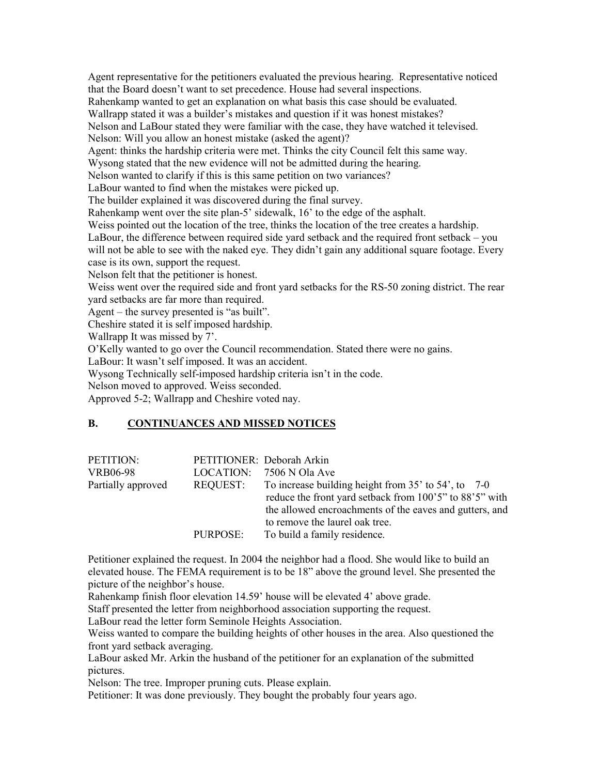Agent representative for the petitioners evaluated the previous hearing. Representative noticed that the Board doesn't want to set precedence. House had several inspections. Rahenkamp wanted to get an explanation on what basis this case should be evaluated. Wallrapp stated it was a builder's mistakes and question if it was honest mistakes? Nelson and LaBour stated they were familiar with the case, they have watched it televised. Nelson: Will you allow an honest mistake (asked the agent)? Agent: thinks the hardship criteria were met. Thinks the city Council felt this same way. Wysong stated that the new evidence will not be admitted during the hearing. Nelson wanted to clarify if this is this same petition on two variances? LaBour wanted to find when the mistakes were picked up. The builder explained it was discovered during the final survey. Rahenkamp went over the site plan-5' sidewalk, 16' to the edge of the asphalt. Weiss pointed out the location of the tree, thinks the location of the tree creates a hardship. LaBour, the difference between required side yard setback and the required front setback – you will not be able to see with the naked eye. They didn't gain any additional square footage. Every case is its own, support the request. Nelson felt that the petitioner is honest. Weiss went over the required side and front yard setbacks for the RS-50 zoning district. The rear yard setbacks are far more than required. Agent – the survey presented is "as built". Cheshire stated it is self imposed hardship. Wallrapp It was missed by 7'. O'Kelly wanted to go over the Council recommendation. Stated there were no gains. LaBour: It wasn't self imposed. It was an accident. Wysong Technically self-imposed hardship criteria isn't in the code.

Nelson moved to approved. Weiss seconded.

Approved 5-2; Wallrapp and Cheshire voted nay.

#### В. B. CONTINUANCES AND MISSED NOTICES

| PETITION:          |          | PETITIONER: Deborah Arkin                                  |
|--------------------|----------|------------------------------------------------------------|
| <b>VRB06-98</b>    |          | LOCATION: 7506 N Ola Ave                                   |
| Partially approved | REQUEST: | To increase building height from $35'$ to $54'$ , to $7-0$ |
|                    |          | reduce the front yard setback from 100'5" to 88'5" with    |
|                    |          | the allowed encroachments of the eaves and gutters, and    |
|                    |          | to remove the laurel oak tree.                             |
|                    | PURPOSE: | To build a family residence.                               |

Petitioner explained the request. In 2004 the neighbor had a flood. She would like to build an elevated house. The FEMA requirement is to be 18" above the ground level. She presented the picture of the neighbor's house.

Rahenkamp finish floor elevation 14.59' house will be elevated 4' above grade.

Staff presented the letter from neighborhood association supporting the request.

LaBour read the letter form Seminole Heights Association.

Weiss wanted to compare the building heights of other houses in the area. Also questioned the front yard setback averaging.

LaBour asked Mr. Arkin the husband of the petitioner for an explanation of the submitted pictures.

Nelson: The tree. Improper pruning cuts. Please explain.

Petitioner: It was done previously. They bought the probably four years ago.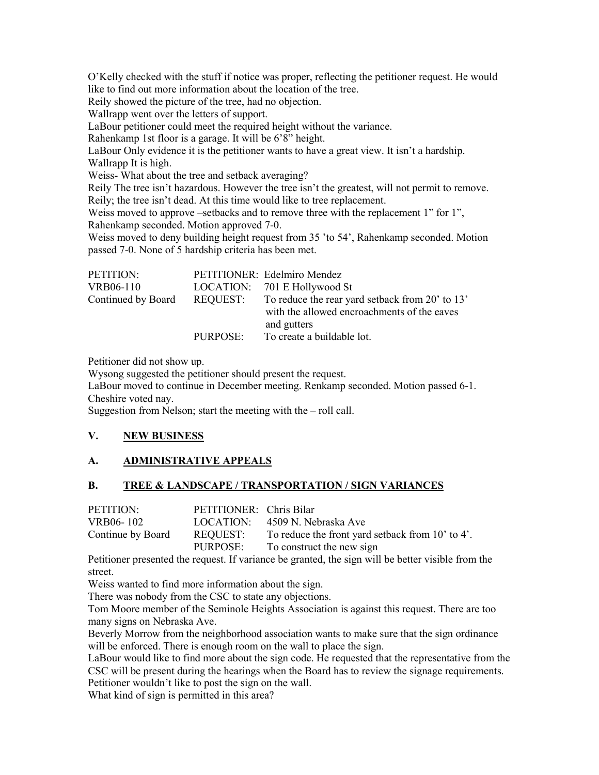O'Kelly checked with the stuff if notice was proper, reflecting the petitioner request. He would like to find out more information about the location of the tree.

Reily showed the picture of the tree, had no objection.

Wallrapp went over the letters of support.

LaBour petitioner could meet the required height without the variance.

Rahenkamp 1st floor is a garage. It will be 6'8" height.

LaBour Only evidence it is the petitioner wants to have a great view. It isn't a hardship. Wallrapp It is high.

Weiss- What about the tree and setback averaging?

Reily The tree isn't hazardous. However the tree isn't the greatest, will not permit to remove. Reily; the tree isn't dead. At this time would like to tree replacement.

Weiss moved to approve –setbacks and to remove three with the replacement 1" for 1", Rahenkamp seconded. Motion approved 7-0.

Weiss moved to deny building height request from 35 'to 54', Rahenkamp seconded. Motion passed 7-0. None of 5 hardship criteria has been met.

| PETITION:          |          | PETITIONER: Edelmiro Mendez                                                                                   |
|--------------------|----------|---------------------------------------------------------------------------------------------------------------|
| VRB06-110          |          | LOCATION: 701 E Hollywood St                                                                                  |
| Continued by Board | REQUEST: | To reduce the rear yard setback from 20' to 13'<br>with the allowed encroachments of the eaves<br>and gutters |
|                    | PURPOSE: | To create a buildable lot.                                                                                    |

Petitioner did not show up.

Wysong suggested the petitioner should present the request.

LaBour moved to continue in December meeting. Renkamp seconded. Motion passed 6-1. Cheshire voted nay.

Suggestion from Nelson; start the meeting with the  $-$  roll call.

#### V. **NEW BUSINESS**

### A. ADMINISTRATIVE APPEALS

#### **B.** TREE & LANDSCAPE / TRANSPORTATION / SIGN VARIANCES

| PETITION:         | PETITIONER: Chris Bilar |                                                  |
|-------------------|-------------------------|--------------------------------------------------|
| VRB06-102         |                         | LOCATION: 4509 N. Nebraska Ave                   |
| Continue by Board | REQUEST:                | To reduce the front yard setback from 10' to 4'. |
|                   | PURPOSE:                | To construct the new sign                        |

Petitioner presented the request. If variance be granted, the sign will be better visible from the street.

Weiss wanted to find more information about the sign.

There was nobody from the CSC to state any objections.

Tom Moore member of the Seminole Heights Association is against this request. There are too many signs on Nebraska Ave.

Beverly Morrow from the neighborhood association wants to make sure that the sign ordinance will be enforced. There is enough room on the wall to place the sign.

LaBour would like to find more about the sign code. He requested that the representative from the CSC will be present during the hearings when the Board has to review the signage requirements.

Petitioner wouldn't like to post the sign on the wall.

What kind of sign is permitted in this area?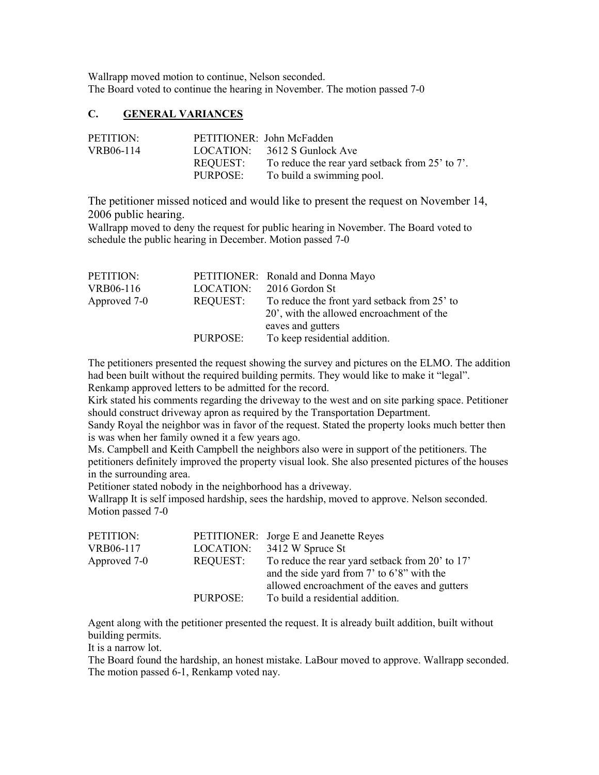Wallrapp moved motion to continue, Nelson seconded. The Board voted to continue the hearing in November. The motion passed 7-0

# C. GENERAL VARIANCES

| PETITION: |           | PETITIONER: John McFadden                       |
|-----------|-----------|-------------------------------------------------|
| VRB06-114 | LOCATION: | 3612 S Gunlock Ave                              |
|           | REQUEST:  | To reduce the rear yard setback from 25' to 7'. |
|           | PURPOSE:  | To build a swimming pool.                       |

 The petitioner missed noticed nd would like to present the request on November 14, 2006 public hearing.

Wallrapp moved to deny the request for public hearing in November. The Board voted to schedule the public hearing in December. Motion passed 7-0

| PETITION:    |           | PETITIONER: Ronald and Donna Mayo                      |
|--------------|-----------|--------------------------------------------------------|
| VRB06-116    | LOCATION: | 2016 Gordon St                                         |
| Approved 7-0 | REQUEST:  | To reduce the front yard setback from 25' to           |
|              |           | 20 <sup>'</sup> , with the allowed encroachment of the |
|              |           | eaves and gutters                                      |
|              | PURPOSE:  | To keep residential addition.                          |

The petitioners presented the request showing the survey and pictures on the ELMO. The addition had been built without the required building permits. They would like to make it "legal". Renkamp approved letters to be admitted for the record.

Kirk stated his comments regarding the driveway to the west and on site parking space. Petitioner should construct driveway apron as required by the Transportation Department.

Sandy Royal the neighbor was in favor of the request. Stated the property looks much better then is was when her family owned it a few years ago.

Ms. Campbell and Keith Campbell the neighbors also were in support of the petitioners. The petitioners definitely improved the property visual look. She also presented pictures of the houses in the surrounding area.

Petitioner stated nobody in the neighborhood has a driveway.

Wallrapp It is self imposed hardship, sees the hardship, moved to approve. Nelson seconded. Motion passed 7-0

| PETITION:    |           | <b>PETITIONER:</b> Jorge E and Jeanette Reyes                                                      |
|--------------|-----------|----------------------------------------------------------------------------------------------------|
| VRB06-117    | LOCATION: | 3412 W Spruce St                                                                                   |
| Approved 7-0 | REQUEST:  | To reduce the rear yard setback from 20' to 17'<br>and the side yard from $7'$ to $6'8''$ with the |
|              |           | allowed encroachment of the eaves and gutters                                                      |
|              | PURPOSE:  | To build a residential addition.                                                                   |

Agent along with the petitioner presented the request. It is already built addition, built without building permits.

It is a narrow lot.

The Board found the hardship, an honest mistake. LaBour moved to approve. Wallrapp seconded. The motion passed 6-1, Renkamp voted nay.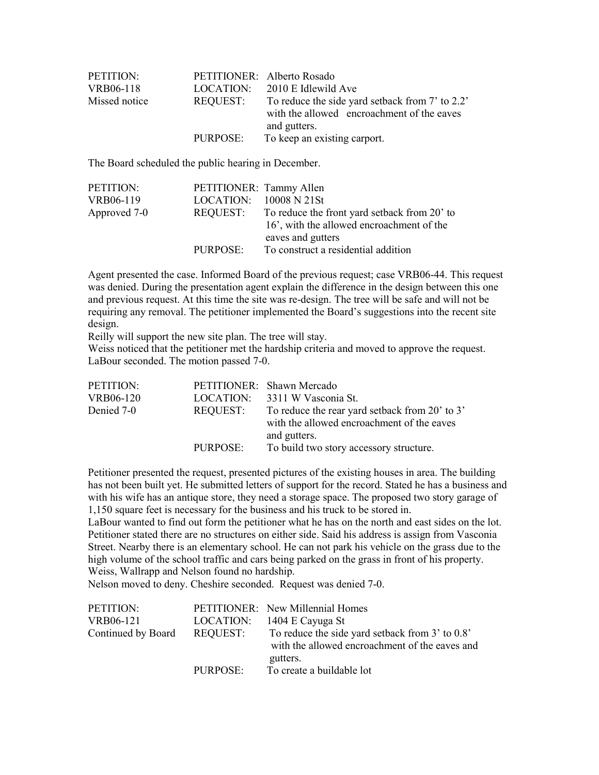| PETITION:     |                 | PETITIONER: Alberto Rosado                                                                                    |
|---------------|-----------------|---------------------------------------------------------------------------------------------------------------|
| VRB06-118     | LOCATION:       | 2010 E Idlewild Ave                                                                                           |
| Missed notice | <b>REQUEST:</b> | To reduce the side yard setback from 7' to 2.2'<br>with the allowed encroachment of the eaves<br>and gutters. |
|               | PURPOSE:        | To keep an existing carport.                                                                                  |

The Board scheduled the public hearing in December.

| PETITIONER: Tammy Allen |                                              |
|-------------------------|----------------------------------------------|
| LOGATION: 10008 N21St   |                                              |
| REQUEST:                | To reduce the front yard setback from 20' to |
|                         | 16', with the allowed encroachment of the    |
|                         | eaves and gutters                            |
| PURPOSE:                | To construct a residential addition          |
|                         |                                              |

Agent presented the case. Informed Board of the previous request; case VRB06-44. This request was denied. During the presentation agent explain the difference in the design between this one and previous request. At this time the site was re-design. The tree will be safe and will not be requiring any removal. The petitioner implemented the Board's suggestions into the recent site design.

Reilly will support the new site plan. The tree will stay.

Weiss noticed that the petitioner met the hardship criteria and moved to approve the request. LaBour seconded. The motion passed 7-0.

| PETITION:  |          | PETITIONER: Shawn Mercado                                                                                    |
|------------|----------|--------------------------------------------------------------------------------------------------------------|
| VRB06-120  |          | LOCATION: 3311 W Vasconia St.                                                                                |
| Denied 7-0 | REQUEST: | To reduce the rear yard setback from 20' to 3'<br>with the allowed encroachment of the eaves<br>and gutters. |
|            | PURPOSE: | To build two story accessory structure.                                                                      |

Petitioner presented the request, presented pictures of the existing houses in area. The building has not been built yet. He submitted letters of support for the record. Stated he has a business and with his wife has an antique store, they need a storage space. The proposed two story garage of 1,150 square feet is necessary for the business and his truck to be stored in.

LaBour wanted to find out form the petitioner what he has on the north and east sides on the lot. Petitioner stated there are no structures on either side. Said his address is assign from V asconia Street. Nearby there is an elementary school. He can not park his vehicle on the grass due to the high volume of the school traffic and cars being parked on the grass in front of his property. Weiss, Wallrapp and Nelson found no hardship.

Nelson moved to deny. Cheshire seconded. Request was denied 7-0.

| PETITION:          |           | PETITIONER: New Millennial Homes                                                                              |
|--------------------|-----------|---------------------------------------------------------------------------------------------------------------|
| VRB06-121          | LOCATION: | 1404 E Cayuga St                                                                                              |
| Continued by Board | REQUEST:  | To reduce the side yard setback from 3' to 0.8'<br>with the allowed encroachment of the eaves and<br>gutters. |
|                    | PURPOSE:  | To create a buildable lot                                                                                     |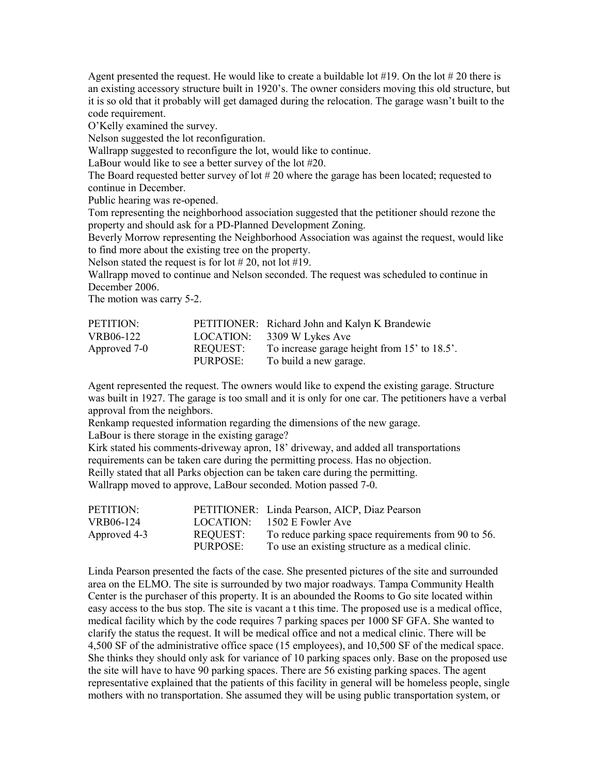Agent presented the request. He would like to create a buildable lot  $#19$ . On the lot  $#20$  there is an existing accessory structure built in 1920's. The owner considers moving this old structure, but it is so old that it probably will get damaged during the relocation. The garage wasn't built to the code requirement.

code requirement.<br>O'Kelly examined the survey.

Nelson suggested the lot reconfiguration.

Wallrapp suggested to reconfigure the lot, would like to continue.

LaBour would like to see a better survey of the lot #20.

The Board requested better survey of lot  $# 20$  where the garage has been located; requested to continue in December.

Public hearing was re-opened.

Tom representing the neighborhood association suggested that the petitioner should rezone the property and should ask for a PD-Planned Development Zoning.

Beverly Morrow representing the Neighborhood Association was against the request, would like to find more about the existing tree on the property.

Nelson stated the request is for lot  $#20$ , not lot  $#19$ .

Wallrapp moved to continue and Nelson seconded. The request was scheduled to continue in December 2006.

The motion was carry 5-2.

| PETITION:    |           | PETITIONER: Richard John and Kalyn K Brandewie |
|--------------|-----------|------------------------------------------------|
| VRB06-122    | LOCATION: | 3309 W Lykes Ave                               |
| Approved 7-0 | REQUEST:  | To increase garage height from 15' to 18.5'.   |
|              | PURPOSE:  | To build a new garage.                         |

Agent represented the request. The owners would like to expend the existing garage. Structure was built in 1927. The garage is too small and it is only for one car. The petitioners have a verbal approval from the neighbors.

Renkamp requested information regarding the dimensions of the new garage.

LaBour is there storage in the existing garage?

Kirk stated his comments-driveway apron, 18' driveway, and added all transportations requirements can be taken care during the permitting process. Has no objection. Reilly stated that all Parks objection can be taken care during the permitting. Wallrapp moved to approve, LaBour seconded. Motion passed 7-0.

| PETITION:    |          | PETITIONER: Linda Pearson, AICP, Diaz Pearson       |
|--------------|----------|-----------------------------------------------------|
| VRB06-124    |          | LOGATION: 1502 E Fowler Ave                         |
| Approved 4-3 | REQUEST: | To reduce parking space requirements from 90 to 56. |
|              | PURPOSE: | To use an existing structure as a medical clinic.   |

Linda Pearson presented the facts of the case. She presented pictures of the site and surrounded area on the ELMO. The site is surrounded by two major roadways. Tampa Community Health Center is the purchaser of this property. It is an abounded the Rooms to Go site located within easy access to the bus stop. The site is vacant a t this time. The proposed use is a medical office, medical facility which by the code requires 7 parking spaces per 1000 SF GFA. She wanted to clarify the status the request. It will be medical office and not a medical clinic. There will be 4,500 SF of the administrative office space (15 employees), and 10,500 SF of the medical space. She thinks they should only ask for variance of 10 parking spaces only. Base on the proposed use the site will have to have 90 parking spaces. There are 56 existing parking spaces. The agent representative explained that the patients of this facility in general will be homeless people, single mothers with no transportation. She assumed they will be using public transportation system, or